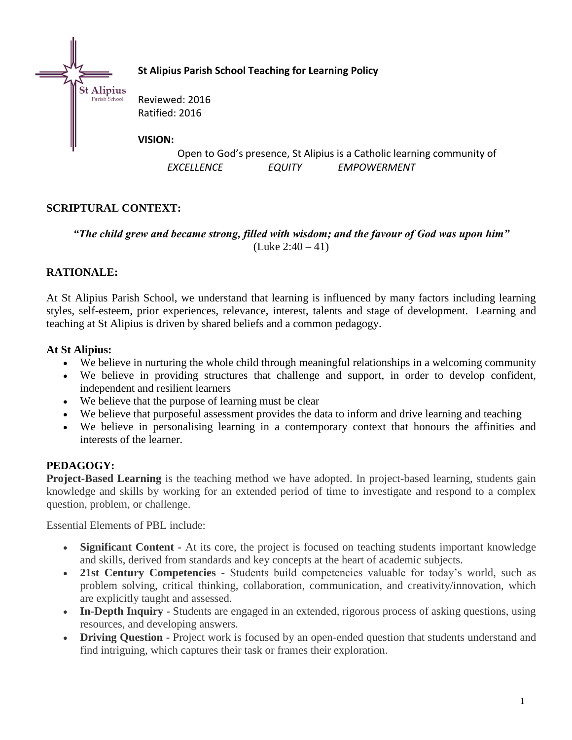

**St Alipius Parish School Teaching for Learning Policy**

Reviewed: 2016 Ratified: 2016

#### **VISION:**

Open to God's presence, St Alipius is a Catholic learning community of *EXCELLENCE EQUITY EMPOWERMENT*

# **SCRIPTURAL CONTEXT:**

*"The child grew and became strong, filled with wisdom; and the favour of God was upon him"*  $(Luke 2:40 - 41)$ 

# **RATIONALE:**

At St Alipius Parish School, we understand that learning is influenced by many factors including learning styles, self-esteem, prior experiences, relevance, interest, talents and stage of development. Learning and teaching at St Alipius is driven by shared beliefs and a common pedagogy.

## **At St Alipius:**

- We believe in nurturing the whole child through meaningful relationships in a welcoming community
- We believe in providing structures that challenge and support, in order to develop confident, independent and resilient learners
- We believe that the purpose of learning must be clear
- We believe that purposeful assessment provides the data to inform and drive learning and teaching
- We believe in personalising learning in a contemporary context that honours the affinities and interests of the learner.

## **PEDAGOGY:**

**Project-Based Learning** is the teaching method we have adopted. In project-based learning, students gain knowledge and skills by working for an extended period of time to investigate and respond to a complex question, problem, or challenge.

Essential Elements of PBL include:

- **Significant Content -** At its core, the project is focused on teaching students important knowledge and skills, derived from standards and key concepts at the heart of academic subjects.
- 21st Century Competencies Students build competencies valuable for today's world, such as problem solving, critical thinking, collaboration, communication, and creativity/innovation, which are explicitly taught and assessed.
- **In-Depth Inquiry -** Students are engaged in an extended, rigorous process of asking questions, using resources, and developing answers.
- **Driving Question -** Project work is focused by an open-ended question that students understand and find intriguing, which captures their task or frames their exploration.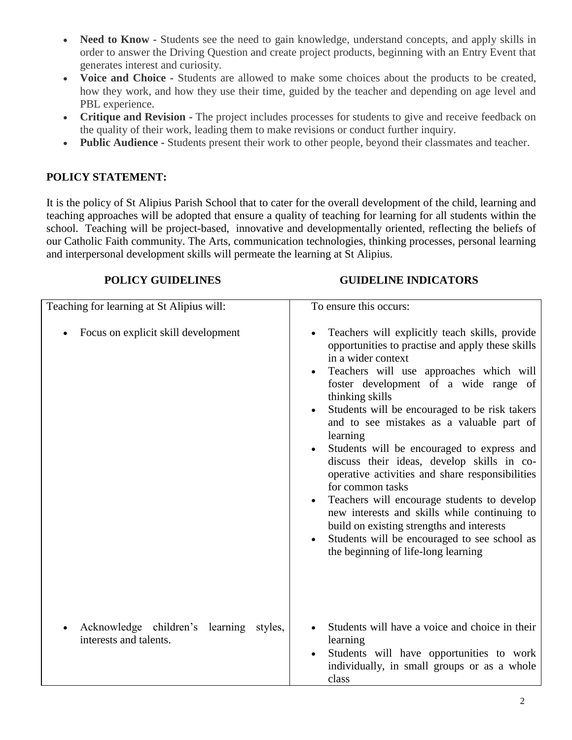- **Need to Know -** Students see the need to gain knowledge, understand concepts, and apply skills in order to answer the Driving Question and create project products, beginning with an Entry Event that generates interest and curiosity.
- **Voice and Choice -** Students are allowed to make some choices about the products to be created, how they work, and how they use their time, guided by the teacher and depending on age level and PBL experience.
- **Critique and Revision -** The project includes processes for students to give and receive feedback on the quality of their work, leading them to make revisions or conduct further inquiry.
- **Public Audience -** Students present their work to other people, beyond their classmates and teacher.

## **POLICY STATEMENT:**

It is the policy of St Alipius Parish School that to cater for the overall development of the child, learning and teaching approaches will be adopted that ensure a quality of teaching for learning for all students within the school. Teaching will be project-based, innovative and developmentally oriented, reflecting the beliefs of our Catholic Faith community. The Arts, communication technologies, thinking processes, personal learning and interpersonal development skills will permeate the learning at St Alipius.

#### **POLICY GUIDELINES GUIDELINE INDICATORS**

| Teaching for learning at St Alipius will:                         | To ensure this occurs:                                                                                                                                                                                                                                                                                                                                                                                                                                                                                                                                                                                                                                                                                                                                                                                           |
|-------------------------------------------------------------------|------------------------------------------------------------------------------------------------------------------------------------------------------------------------------------------------------------------------------------------------------------------------------------------------------------------------------------------------------------------------------------------------------------------------------------------------------------------------------------------------------------------------------------------------------------------------------------------------------------------------------------------------------------------------------------------------------------------------------------------------------------------------------------------------------------------|
| Focus on explicit skill development                               | Teachers will explicitly teach skills, provide<br>opportunities to practise and apply these skills<br>in a wider context<br>Teachers will use approaches which will<br>$\bullet$<br>foster development of a wide range of<br>thinking skills<br>Students will be encouraged to be risk takers<br>$\bullet$<br>and to see mistakes as a valuable part of<br>learning<br>Students will be encouraged to express and<br>$\bullet$<br>discuss their ideas, develop skills in co-<br>operative activities and share responsibilities<br>for common tasks<br>Teachers will encourage students to develop<br>$\bullet$<br>new interests and skills while continuing to<br>build on existing strengths and interests<br>Students will be encouraged to see school as<br>$\bullet$<br>the beginning of life-long learning |
| Acknowledge children's learning styles,<br>interests and talents. | Students will have a voice and choice in their<br>learning<br>Students will have opportunities to work<br>$\bullet$<br>individually, in small groups or as a whole<br>class                                                                                                                                                                                                                                                                                                                                                                                                                                                                                                                                                                                                                                      |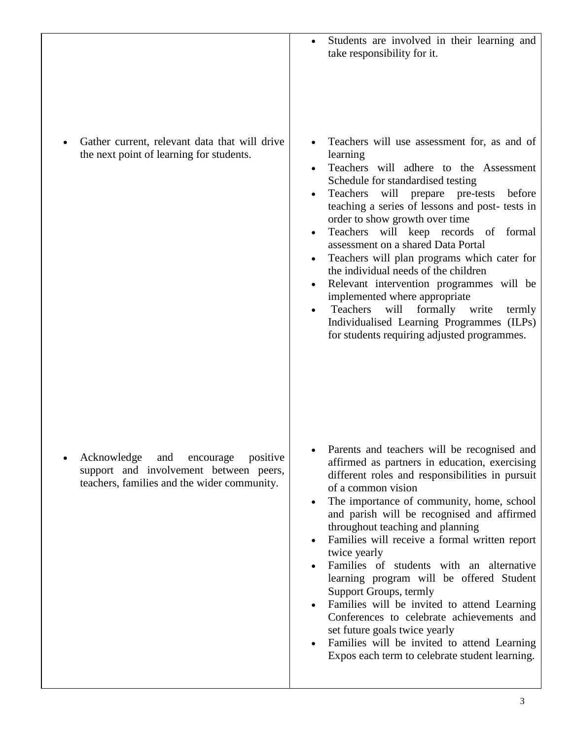| Gather current, relevant data that will drive<br>Teachers will use assessment for, as and of<br>the next point of learning for students.<br>learning<br>Teachers will adhere to the Assessment<br>$\bullet$<br>Schedule for standardised testing<br>Teachers<br>will prepare pre-tests<br>before<br>teaching a series of lessons and post- tests in<br>order to show growth over time<br>Teachers will keep records of formal<br>assessment on a shared Data Portal<br>Teachers will plan programs which cater for<br>the individual needs of the children<br>Relevant intervention programmes will be<br>implemented where appropriate<br>will formally write<br>Teachers<br>termly<br>$\bullet$<br>Individualised Learning Programmes (ILPs)<br>for students requiring adjusted programmes.<br>Parents and teachers will be recognised and<br>Acknowledge<br>positive<br>and<br>encourage<br>affirmed as partners in education, exercising<br>support and involvement between peers,<br>different roles and responsibilities in pursuit<br>teachers, families and the wider community.<br>of a common vision<br>The importance of community, home, school<br>and parish will be recognised and affirmed<br>throughout teaching and planning<br>Families will receive a formal written report<br>$\bullet$<br>twice yearly<br>Families of students with an alternative<br>learning program will be offered Student<br>Support Groups, termly<br>Families will be invited to attend Learning<br>$\bullet$<br>Conferences to celebrate achievements and<br>set future goals twice yearly<br>Families will be invited to attend Learning<br>$\bullet$<br>Expos each term to celebrate student learning. | Students are involved in their learning and<br>$\bullet$<br>take responsibility for it. |
|-------------------------------------------------------------------------------------------------------------------------------------------------------------------------------------------------------------------------------------------------------------------------------------------------------------------------------------------------------------------------------------------------------------------------------------------------------------------------------------------------------------------------------------------------------------------------------------------------------------------------------------------------------------------------------------------------------------------------------------------------------------------------------------------------------------------------------------------------------------------------------------------------------------------------------------------------------------------------------------------------------------------------------------------------------------------------------------------------------------------------------------------------------------------------------------------------------------------------------------------------------------------------------------------------------------------------------------------------------------------------------------------------------------------------------------------------------------------------------------------------------------------------------------------------------------------------------------------------------------------------------------------------------------------------------------------------------|-----------------------------------------------------------------------------------------|
|                                                                                                                                                                                                                                                                                                                                                                                                                                                                                                                                                                                                                                                                                                                                                                                                                                                                                                                                                                                                                                                                                                                                                                                                                                                                                                                                                                                                                                                                                                                                                                                                                                                                                                       |                                                                                         |
| 3                                                                                                                                                                                                                                                                                                                                                                                                                                                                                                                                                                                                                                                                                                                                                                                                                                                                                                                                                                                                                                                                                                                                                                                                                                                                                                                                                                                                                                                                                                                                                                                                                                                                                                     |                                                                                         |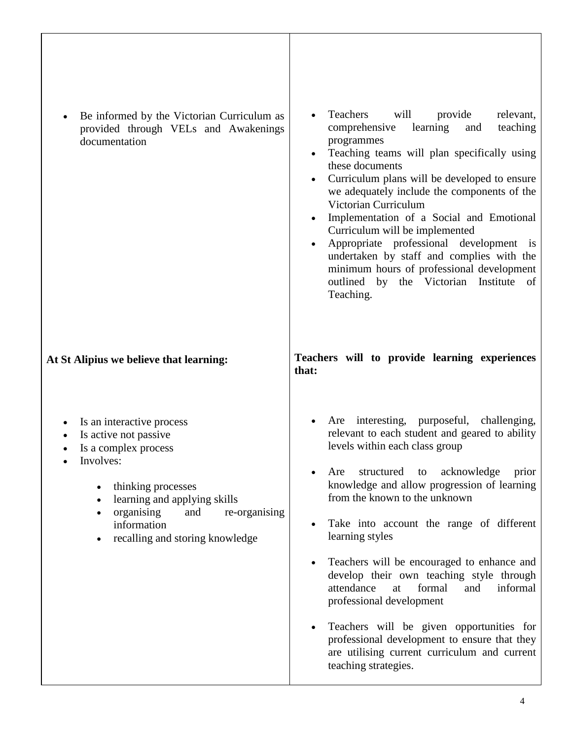| Be informed by the Victorian Curriculum as<br>provided through VELs and Awakenings<br>documentation                                                                                                                                                | Teachers<br>will<br>relevant,<br>provide<br>learning<br>teaching<br>comprehensive<br>and<br>programmes<br>Teaching teams will plan specifically using<br>$\bullet$<br>these documents<br>Curriculum plans will be developed to ensure<br>$\bullet$<br>we adequately include the components of the<br>Victorian Curriculum<br>Implementation of a Social and Emotional<br>$\bullet$<br>Curriculum will be implemented<br>Appropriate professional development is<br>$\bullet$<br>undertaken by staff and complies with the<br>minimum hours of professional development<br>outlined by the Victorian Institute of<br>Teaching. |
|----------------------------------------------------------------------------------------------------------------------------------------------------------------------------------------------------------------------------------------------------|-------------------------------------------------------------------------------------------------------------------------------------------------------------------------------------------------------------------------------------------------------------------------------------------------------------------------------------------------------------------------------------------------------------------------------------------------------------------------------------------------------------------------------------------------------------------------------------------------------------------------------|
| At St Alipius we believe that learning:                                                                                                                                                                                                            | Teachers will to provide learning experiences<br>that:                                                                                                                                                                                                                                                                                                                                                                                                                                                                                                                                                                        |
| Is an interactive process<br>Is active not passive<br>$\bullet$<br>Is a complex process<br>Involves:<br>thinking processes<br>learning and applying skills<br>organising<br>re-organising<br>and<br>information<br>recalling and storing knowledge | Are interesting, purposeful, challenging,<br>relevant to each student and geared to ability<br>levels within each class group<br>Are structured to acknowledge prior<br>knowledge and allow progression of learning<br>from the known to the unknown<br>Take into account the range of different<br>$\bullet$<br>learning styles<br>Teachers will be encouraged to enhance and<br>٠<br>develop their own teaching style through<br>attendance<br>formal<br>informal<br>at<br>and                                                                                                                                              |
|                                                                                                                                                                                                                                                    | professional development<br>Teachers will be given opportunities for<br>٠<br>professional development to ensure that they<br>are utilising current curriculum and current<br>teaching strategies.                                                                                                                                                                                                                                                                                                                                                                                                                             |